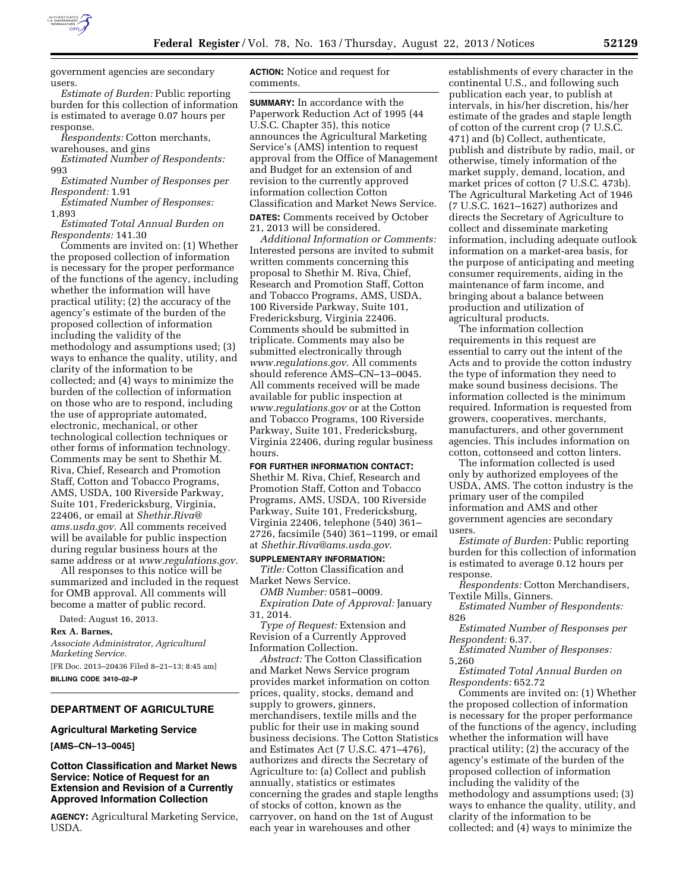

government agencies are secondary users.

*Estimate of Burden:* Public reporting burden for this collection of information is estimated to average 0.07 hours per response.

*Respondents:* Cotton merchants,

warehouses, and gins *Estimated Number of Respondents:* 

993

*Estimated Number of Responses per Respondent:* 1.91

*Estimated Number of Responses:*  1,893

*Estimated Total Annual Burden on Respondents:* 141.30

Comments are invited on: (1) Whether the proposed collection of information is necessary for the proper performance of the functions of the agency, including whether the information will have practical utility; (2) the accuracy of the agency's estimate of the burden of the proposed collection of information including the validity of the methodology and assumptions used; (3) ways to enhance the quality, utility, and clarity of the information to be collected; and (4) ways to minimize the burden of the collection of information on those who are to respond, including the use of appropriate automated, electronic, mechanical, or other technological collection techniques or other forms of information technology. Comments may be sent to Shethir M. Riva, Chief, Research and Promotion Staff, Cotton and Tobacco Programs, AMS, USDA, 100 Riverside Parkway, Suite 101, Fredericksburg, Virginia, 22406, or email at *[Shethir.Riva@](mailto:Shethir.Riva@ams.usda.gov) [ams.usda.gov.](mailto:Shethir.Riva@ams.usda.gov)* All comments received will be available for public inspection during regular business hours at the same address or at *[www.regulations.gov.](http://www.regulations.gov)* 

All responses to this notice will be summarized and included in the request for OMB approval. All comments will become a matter of public record.

Dated: August 16, 2013.

**Rex A. Barnes,** 

*Associate Administrator, Agricultural Marketing Service.*  [FR Doc. 2013–20436 Filed 8–21–13; 8:45 am]

**BILLING CODE 3410–02–P** 

## **DEPARTMENT OF AGRICULTURE**

# **Agricultural Marketing Service**

**[AMS–CN–13–0045]** 

**Cotton Classification and Market News Service: Notice of Request for an Extension and Revision of a Currently Approved Information Collection** 

**AGENCY:** Agricultural Marketing Service, USDA.

**ACTION:** Notice and request for comments.

**SUMMARY:** In accordance with the Paperwork Reduction Act of 1995 (44 U.S.C. Chapter 35), this notice announces the Agricultural Marketing Service's (AMS) intention to request approval from the Office of Management and Budget for an extension of and revision to the currently approved information collection Cotton Classification and Market News Service.

**DATES:** Comments received by October 21, 2013 will be considered.

*Additional Information or Comments:*  Interested persons are invited to submit written comments concerning this proposal to Shethir M. Riva, Chief, Research and Promotion Staff, Cotton and Tobacco Programs, AMS, USDA, 100 Riverside Parkway, Suite 101, Fredericksburg, Virginia 22406. Comments should be submitted in triplicate. Comments may also be submitted electronically through *[www.regulations.gov](http://www.regulations.gov)*. All comments should reference AMS–CN–13–0045. All comments received will be made available for public inspection at *[www.regulations.gov](http://www.regulations.gov)* or at the Cotton and Tobacco Programs, 100 Riverside Parkway, Suite 101, Fredericksburg, Virginia 22406, during regular business hours.

**FOR FURTHER INFORMATION CONTACT:** 

Shethir M. Riva, Chief, Research and Promotion Staff, Cotton and Tobacco Programs, AMS, USDA, 100 Riverside Parkway, Suite 101, Fredericksburg, Virginia 22406, telephone (540) 361– 2726, facsimile (540) 361–1199, or email at *[Shethir.Riva@ams.usda.gov](mailto:Shethir.Riva@ams.usda.gov)*.

**SUPPLEMENTARY INFORMATION:**  *Title:* Cotton Classification and Market News Service.

*OMB Number:* 0581–0009. *Expiration Date of Approval:* January 31, 2014.

*Type of Request:* Extension and Revision of a Currently Approved Information Collection.

*Abstract:* The Cotton Classification and Market News Service program provides market information on cotton prices, quality, stocks, demand and supply to growers, ginners, merchandisers, textile mills and the public for their use in making sound business decisions. The Cotton Statistics and Estimates Act (7 U.S.C. 471–476), authorizes and directs the Secretary of Agriculture to: (a) Collect and publish annually, statistics or estimates concerning the grades and staple lengths of stocks of cotton, known as the carryover, on hand on the 1st of August each year in warehouses and other

establishments of every character in the continental U.S., and following such publication each year, to publish at intervals, in his/her discretion, his/her estimate of the grades and staple length of cotton of the current crop (7 U.S.C. 471) and (b) Collect, authenticate, publish and distribute by radio, mail, or otherwise, timely information of the market supply, demand, location, and market prices of cotton (7 U.S.C. 473b). The Agricultural Marketing Act of 1946 (7 U.S.C. 1621–1627) authorizes and directs the Secretary of Agriculture to collect and disseminate marketing information, including adequate outlook information on a market-area basis, for the purpose of anticipating and meeting consumer requirements, aiding in the maintenance of farm income, and bringing about a balance between production and utilization of agricultural products.

The information collection requirements in this request are essential to carry out the intent of the Acts and to provide the cotton industry the type of information they need to make sound business decisions. The information collected is the minimum required. Information is requested from growers, cooperatives, merchants, manufacturers, and other government agencies. This includes information on cotton, cottonseed and cotton linters.

The information collected is used only by authorized employees of the USDA, AMS. The cotton industry is the primary user of the compiled information and AMS and other government agencies are secondary users.

*Estimate of Burden:* Public reporting burden for this collection of information is estimated to average 0.12 hours per response.

*Respondents:* Cotton Merchandisers, Textile Mills, Ginners.

*Estimated Number of Respondents:*  826

*Estimated Number of Responses per Respondent:* 6.37.

*Estimated Number of Responses:*  5,260

*Estimated Total Annual Burden on Respondents:* 652.72

Comments are invited on: (1) Whether the proposed collection of information is necessary for the proper performance of the functions of the agency, including whether the information will have practical utility; (2) the accuracy of the agency's estimate of the burden of the proposed collection of information including the validity of the methodology and assumptions used; (3) ways to enhance the quality, utility, and clarity of the information to be collected; and (4) ways to minimize the